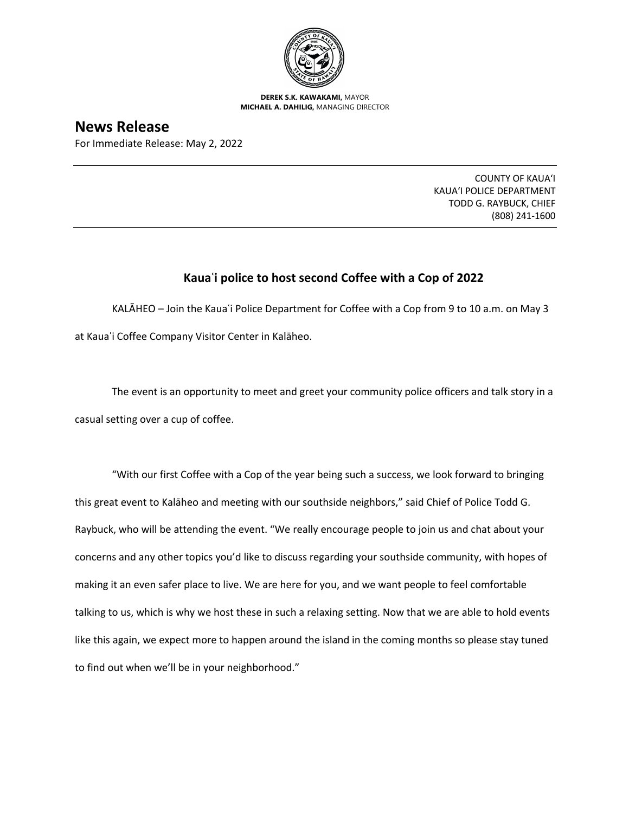

**DEREK S.K. KAWAKAMI,** MAYOR **MICHAEL A. DAHILIG,** MANAGING DIRECTOR

## **News Release**

For Immediate Release: May 2, 2022

COUNTY OF KAUA'I KAUA'I POLICE DEPARTMENT TODD G. RAYBUCK, CHIEF (808) 241-1600

## **Kauaʿi police to host second Coffee with a Cop of 2022**

KALĀHEO – Join the Kauaʿi Police Department for Coffee with a Cop from 9 to 10 a.m. on May 3 at Kauaʿi Coffee Company Visitor Center in Kalāheo.

The event is an opportunity to meet and greet your community police officers and talk story in a casual setting over a cup of coffee.

"With our first Coffee with a Cop of the year being such a success, we look forward to bringing this great event to Kalāheo and meeting with our southside neighbors," said Chief of Police Todd G. Raybuck, who will be attending the event. "We really encourage people to join us and chat about your concerns and any other topics you'd like to discuss regarding your southside community, with hopes of making it an even safer place to live. We are here for you, and we want people to feel comfortable talking to us, which is why we host these in such a relaxing setting. Now that we are able to hold events like this again, we expect more to happen around the island in the coming months so please stay tuned to find out when we'll be in your neighborhood."